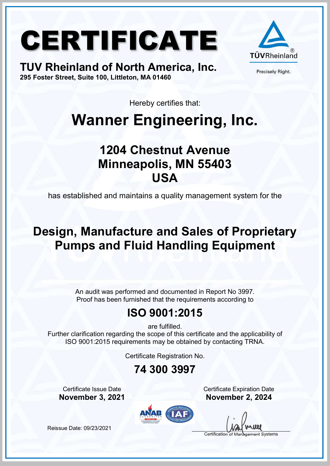# CERTIFICATE





Precisely Right.

Hereby certifies that:

### Wanner Engineering, Inc.

#### 1204 Chestnut Avenue Minneapolis, MN 55403 USA

has established and maintains a quality management system for the

#### Design, Manufacture and Sales of Proprietary Pumps and Fluid Handling Equipment

An audit was performed and documented in Report No 3997. Proof has been furnished that the requirements according to

#### ISO 9001:2015

are fulfilled.

Further clarification regarding the scope of this certificate and the applicability of ISO 9001:2015 requirements may be obtained by contacting TRNA.

Certificate Registration No.

#### 74 300 3997

**Certificate Issue Date** Certificate Expiration Date November 3, 2021 November 2, 2024



Certification of Management Systems

Reissue Date: 09/23/2021